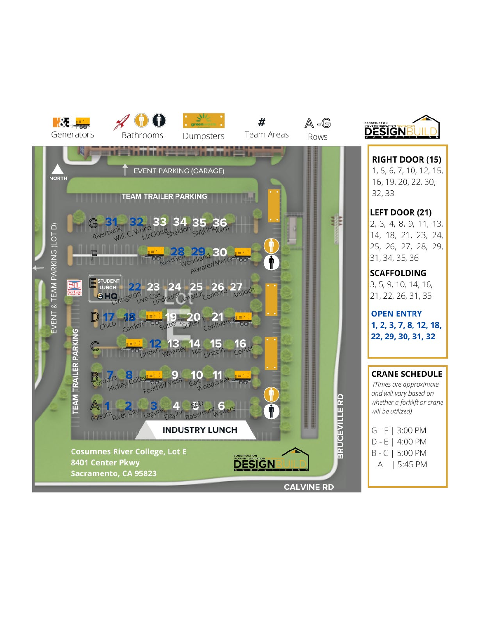